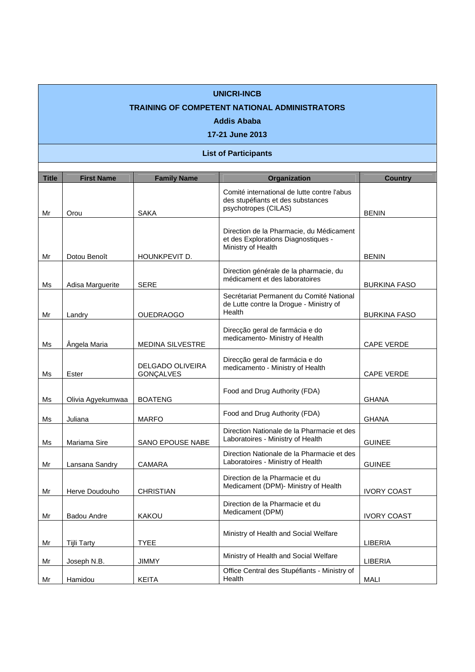## **UNICRI-INCB**

## **TRAINING OF COMPETENT NATIONAL ADMINISTRATORS**

## **Addis Ababa**

**17-21 June 2013** 

## **List of Participants**

| <b>Title</b> | <b>First Name</b> | <b>Family Name</b>                   | <b>Organization</b>                                                                                      | <b>Country</b>      |
|--------------|-------------------|--------------------------------------|----------------------------------------------------------------------------------------------------------|---------------------|
| Mr           | Orou              | <b>SAKA</b>                          | Comité international de lutte contre l'abus<br>des stupéfiants et des substances<br>psychotropes (CILAS) | <b>BENIN</b>        |
| Mr           | Dotou Benoît      | HOUNKPEVIT D.                        | Direction de la Pharmacie, du Médicament<br>et des Explorations Diagnostiques -<br>Ministry of Health    | <b>BENIN</b>        |
| Ms           | Adisa Marguerite  | <b>SERE</b>                          | Direction générale de la pharmacie, du<br>médicament et des laboratoires                                 | <b>BURKINA FASO</b> |
| Mr           | Landry            | <b>OUEDRAOGO</b>                     | Secrétariat Permanent du Comité National<br>de Lutte contre la Drogue - Ministry of<br>Health            | <b>BURKINA FASO</b> |
| Ms           | Ângela Maria      | <b>MEDINA SILVESTRE</b>              | Direcção geral de farmácia e do<br>medicamento- Ministry of Health                                       | <b>CAPE VERDE</b>   |
| Ms           | Ester             | <b>DELGADO OLIVEIRA</b><br>GONÇALVES | Direcção geral de farmácia e do<br>medicamento - Ministry of Health                                      | CAPE VERDE          |
| Ms           | Olivia Agyekumwaa | <b>BOATENG</b>                       | Food and Drug Authority (FDA)                                                                            | <b>GHANA</b>        |
| Ms           | Juliana           | <b>MARFO</b>                         | Food and Drug Authority (FDA)                                                                            | <b>GHANA</b>        |
| Ms           | Mariama Sire      | SANO EPOUSE NABE                     | Direction Nationale de la Pharmacie et des<br>Laboratoires - Ministry of Health                          | <b>GUINEE</b>       |
| Mr           | Lansana Sandry    | CAMARA                               | Direction Nationale de la Pharmacie et des<br>Laboratoires - Ministry of Health                          | <b>GUINEE</b>       |
| Mr           | Herve Doudouho    | <b>CHRISTIAN</b>                     | Direction de la Pharmacie et du<br>Medicament (DPM)- Ministry of Health                                  | <b>IVORY COAST</b>  |
| Mr           | Badou Andre       | <b>KAKOU</b>                         | Direction de la Pharmacie et du<br>Medicament (DPM)                                                      | <b>IVORY COAST</b>  |
| Mr           | Tijli Tarty       | <b>TYEE</b>                          | Ministry of Health and Social Welfare                                                                    | LIBERIA             |
| Mr           | Joseph N.B.       | <b>JIMMY</b>                         | Ministry of Health and Social Welfare                                                                    | LIBERIA             |
| Mr           | Hamidou           | <b>KEITA</b>                         | Office Central des Stupéfiants - Ministry of<br>Health                                                   | <b>MALI</b>         |